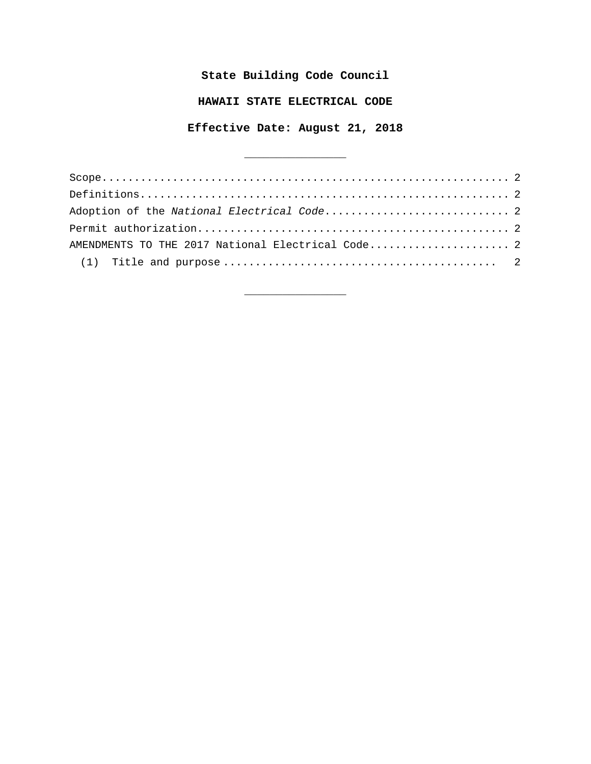# **State Building Code Council**

## **HAWAII STATE ELECTRICAL CODE**

## **Effective Date: August 21, 2018**

 $\overline{\phantom{a}}$  , where  $\overline{\phantom{a}}$  , where  $\overline{\phantom{a}}$  , where  $\overline{\phantom{a}}$  , where  $\overline{\phantom{a}}$ 

| AMENDMENTS TO THE 2017 National Electrical Code 2 |  |
|---------------------------------------------------|--|
|                                                   |  |

\_\_\_\_\_\_\_\_\_\_\_\_\_\_\_\_